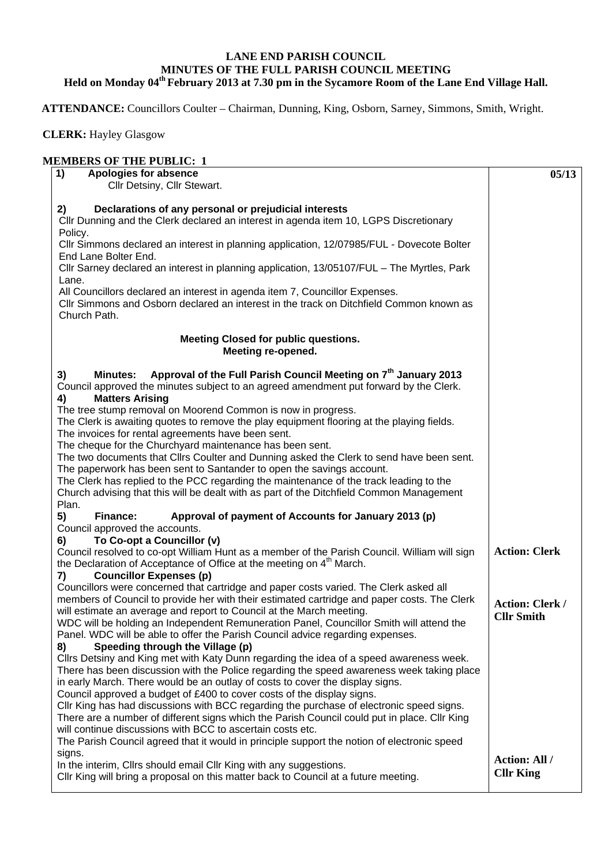## **LANE END PARISH COUNCIL MINUTES OF THE FULL PARISH COUNCIL MEETING Held on Monday 04th February 2013 at 7.30 pm in the Sycamore Room of the Lane End Village Hall.**

 **ATTENDANCE:** Councillors Coulter – Chairman, Dunning, King, Osborn, Sarney, Simmons, Smith, Wright.

 **CLERK:** Hayley Glasgow

## **MEMBERS OF THE PUBLIC: 1**

| 1)<br>Apologies for absence<br>Cllr Detsiny, Cllr Stewart.                                                                                                                                                              | 05/13                                    |
|-------------------------------------------------------------------------------------------------------------------------------------------------------------------------------------------------------------------------|------------------------------------------|
|                                                                                                                                                                                                                         |                                          |
| Declarations of any personal or prejudicial interests<br>2)<br>CIIr Dunning and the Clerk declared an interest in agenda item 10, LGPS Discretionary                                                                    |                                          |
| Policy.<br>CIIr Simmons declared an interest in planning application, 12/07985/FUL - Dovecote Bolter<br>End Lane Bolter End.                                                                                            |                                          |
| CIIr Sarney declared an interest in planning application, 13/05107/FUL - The Myrtles, Park<br>Lane.                                                                                                                     |                                          |
| All Councillors declared an interest in agenda item 7, Councillor Expenses.<br>CIIr Simmons and Osborn declared an interest in the track on Ditchfield Common known as<br>Church Path.                                  |                                          |
| <b>Meeting Closed for public questions.</b><br>Meeting re-opened.                                                                                                                                                       |                                          |
| Approval of the Full Parish Council Meeting on 7 <sup>th</sup> January 2013<br>3)<br><b>Minutes:</b><br>Council approved the minutes subject to an agreed amendment put forward by the Clerk.<br><b>Matters Arising</b> |                                          |
| 4)<br>The tree stump removal on Moorend Common is now in progress.                                                                                                                                                      |                                          |
| The Clerk is awaiting quotes to remove the play equipment flooring at the playing fields.<br>The invoices for rental agreements have been sent.                                                                         |                                          |
| The cheque for the Churchyard maintenance has been sent.                                                                                                                                                                |                                          |
| The two documents that Cllrs Coulter and Dunning asked the Clerk to send have been sent.                                                                                                                                |                                          |
| The paperwork has been sent to Santander to open the savings account.<br>The Clerk has replied to the PCC regarding the maintenance of the track leading to the                                                         |                                          |
| Church advising that this will be dealt with as part of the Ditchfield Common Management<br>Plan.                                                                                                                       |                                          |
| 5)<br>Finance:<br>Approval of payment of Accounts for January 2013 (p)<br>Council approved the accounts.                                                                                                                |                                          |
| To Co-opt a Councillor (v)<br>6)                                                                                                                                                                                        |                                          |
| Council resolved to co-opt William Hunt as a member of the Parish Council. William will sign<br>the Declaration of Acceptance of Office at the meeting on 4 <sup>th</sup> March.                                        | <b>Action: Clerk</b>                     |
| <b>Councillor Expenses (p)</b><br>7)                                                                                                                                                                                    |                                          |
| Councillors were concerned that cartridge and paper costs varied. The Clerk asked all<br>members of Council to provide her with their estimated cartridge and paper costs. The Clerk                                    | <b>Action: Clerk /</b>                   |
| will estimate an average and report to Council at the March meeting.<br>WDC will be holding an Independent Remuneration Panel, Councillor Smith will attend the                                                         | <b>Cllr Smith</b>                        |
| Panel. WDC will be able to offer the Parish Council advice regarding expenses.<br>Speeding through the Village (p)<br>8)                                                                                                |                                          |
| Cllrs Detsiny and King met with Katy Dunn regarding the idea of a speed awareness week.                                                                                                                                 |                                          |
| There has been discussion with the Police regarding the speed awareness week taking place<br>in early March. There would be an outlay of costs to cover the display signs.                                              |                                          |
| Council approved a budget of £400 to cover costs of the display signs.<br>CIIr King has had discussions with BCC regarding the purchase of electronic speed signs.                                                      |                                          |
| There are a number of different signs which the Parish Council could put in place. Cllr King                                                                                                                            |                                          |
| will continue discussions with BCC to ascertain costs etc.                                                                                                                                                              |                                          |
| The Parish Council agreed that it would in principle support the notion of electronic speed<br>signs.                                                                                                                   |                                          |
| In the interim, Cllrs should email Cllr King with any suggestions.<br>Cllr King will bring a proposal on this matter back to Council at a future meeting.                                                               | <b>Action: All /</b><br><b>Cllr King</b> |